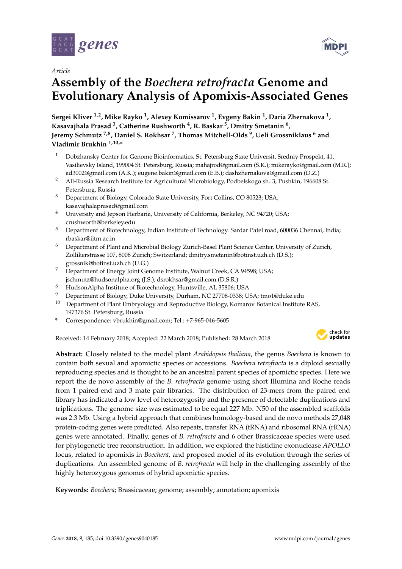

*Article*

# **Assembly of the** *Boechera retrofracta* **Genome and Evolutionary Analysis of Apomixis-Associated Genes**

**Sergei Kliver 1,2, Mike Rayko <sup>1</sup> , Alexey Komissarov <sup>1</sup> , Evgeny Bakin <sup>1</sup> , Daria Zhernakova <sup>1</sup> , Kasavajhala Prasad <sup>3</sup> , Catherine Rushworth <sup>4</sup> , R. Baskar <sup>5</sup> , Dmitry Smetanin <sup>6</sup> , Jeremy Schmutz 7,8, Daniel S. Rokhsar <sup>7</sup> , Thomas Mitchell-Olds <sup>9</sup> , Ueli Grossniklaus <sup>6</sup> and Vladimir Brukhin 1,10,\***

- <sup>1</sup> Dobzhansky Center for Genome Bioinformatics, St. Petersburg State Universit, Sredniy Prospekt, 41, Vasilievsky Island, 199004 St. Petersburg, Russia; mahajrod@gmail.com (S.K.); mikerayko@gmail.com (M.R.); ad3002@gmail.com (A.K.); eugene.bakin@gmail.com (E.B.); dashzhernakova@gmail.com (D.Z.)
- <sup>2</sup> All-Russia Research Institute for Agricultural Microbiology, Podbelskogo sh. 3, Pushkin, 196608 St. Petersburg, Russia
- <sup>3</sup> Department of Biology, Colorado State University, Fort Collins, CO 80523; USA; kasavajhalaprasad@gmail.com
- <sup>4</sup> University and Jepson Herbaria, University of California, Berkeley, NC 94720; USA; crushworth@berkeley.edu
- <sup>5</sup> Department of Biotechnology, Indian Institute of Technology. Sardar Patel road, 600036 Chennai, India; rbaskar@iitm.ac.in
- <sup>6</sup> Department of Plant and Microbial Biology Zurich-Basel Plant Science Center, University of Zurich, Zollikerstrasse 107, 8008 Zurich; Switzerland; dmitry.smetanin@botinst.uzh.ch (D.S.); grossnik@botinst.uzh.ch (U.G.)
- <sup>7</sup> Department of Energy Joint Genome Institute, Walnut Creek, CA 94598; USA; jschmutz@hudsonalpha.org (J.S.); dsrokhsar@gmail.com (D.S.R.)
- <sup>8</sup> HudsonAlpha Institute of Biotechnology, Huntsville, AL 35806; USA
- <sup>9</sup> Department of Biology, Duke University, Durham, NC 27708-0338; USA; tmo1@duke.edu
- <sup>10</sup> Department of Plant Embryology and Reproductive Biology, Komarov Botanical Institute RAS, 197376 St. Petersburg, Russia
- **\*** Correspondence: vbrukhin@gmail.com; Tel.: +7-965-046-5605

Received: 14 February 2018; Accepted: 22 March 2018; Published: 28 March 2018



**MDP** 

**Abstract:** Closely related to the model plant *Arabidopsis thaliana*, the genus *Boechera* is known to contain both sexual and apomictic species or accessions. *Boechera retrofracta* is a diploid sexually reproducing species and is thought to be an ancestral parent species of apomictic species. Here we report the de novo assembly of the *B. retrofracta* genome using short Illumina and Roche reads from 1 paired-end and 3 mate pair libraries. The distribution of 23-mers from the paired end library has indicated a low level of heterozygosity and the presence of detectable duplications and triplications. The genome size was estimated to be equal 227 Mb. N50 of the assembled scaffolds was 2.3 Mb. Using a hybrid approach that combines homology-based and de novo methods 27,048 protein-coding genes were predicted. Also repeats, transfer RNA (tRNA) and ribosomal RNA (rRNA) genes were annotated. Finally, genes of *B. retrofracta* and 6 other Brassicaceae species were used for phylogenetic tree reconstruction. In addition, we explored the histidine exonuclease *APOLLO* locus, related to apomixis in *Boechera*, and proposed model of its evolution through the series of duplications. An assembled genome of *B. retrofracta* will help in the challenging assembly of the highly heterozygous genomes of hybrid apomictic species*.*

**Keywords:** *Boechera*; Brassicaceae; genome; assembly; annotation; apomixis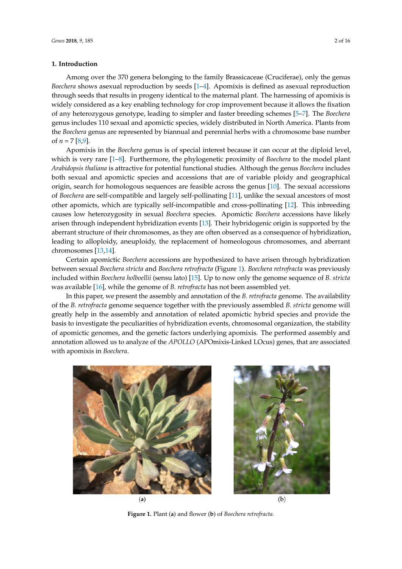# **1. Introduction**

Among over the 370 genera belonging to the family Brassicaceae (Cruciferae), only the genus *Boechera* shows asexual reproduction by seeds [1–4]. Apomixis is defined as asexual reproduction through seeds that results in progeny identical to the maternal plant. The harnessing of apomixis is widely considered as a key enabling technology for crop improvement because it allows the fixation of any heterozygous genotype, leading to simpler and faster breeding schemes [5–7]. The *Boechera* genus includes 110 sexual and apomictic species, widely distributed in North America. Plants from the *Boechera* genus are represented by biannual and perennial herbs with a chromosome base number of  $n = 7$  [8,9].

Apomixis in the *Boechera* genus is of special interest because it can occur at the diploid level, which is very rare [1–8]. Furthermore, the phylogenetic proximity of *Boechera* to the model plant *Arabidopsis thaliana* is attractive for potential functional studies. Although the genus *Boechera* includes both sexual and apomictic species and accessions that are of variable ploidy and geographical origin, search for homologous sequences are feasible across the genus [10]. The sexual accessions of *Boechera* are self-compatible and largely self-pollinating [11], unlike the sexual ancestors of most other apomicts, which are typically self-incompatible and cross-pollinating [12]. This inbreeding causes low heterozygosity in sexual *Boechera* species. Apomictic *Boechera* accessions have likely arisen through independent hybridization events [13]. Their hybridogenic origin is supported by the aberrant structure of their chromosomes, as they are often observed as a consequence of hybridization, leading to alloploidy, aneuploidy, the replacement of homeologous chromosomes, and aberrant chromosomes [13,14].

Certain apomictic *Boechera* accessions are hypothesized to have arisen through hybridization between sexual *Boechera stricta* and *Boechera retrofracta* (Figure 1). *Boechera retrofracta* was previously included within *Boechera holboellii* (sensu lato) [15]. Up to now only the genome sequence of *B. stricta* was available [16], while the genome of *B. retrofracta* has not been assembled yet.

In this paper, we present the assembly and annotation of the *B. retrofracta* genome. The availability of the *B. retrofracta* genome sequence together with the previously assembled *B. stricta* genome will greatly help in the assembly and annotation of related apomictic hybrid species and provide the basis to investigate the peculiarities of hybridization events, chromosomal organization, the stability of apomictic genomes, and the genetic factors underlying apomixis. The performed assembly and annotation allowed us to analyze of the *APOLLO* (APOmixis-Linked LOcus) genes, that are associated with apomixis in *Boechera*.





**Figure 1.** Plant (**a**) and flower (**b**) of *Boechera retrofracta*.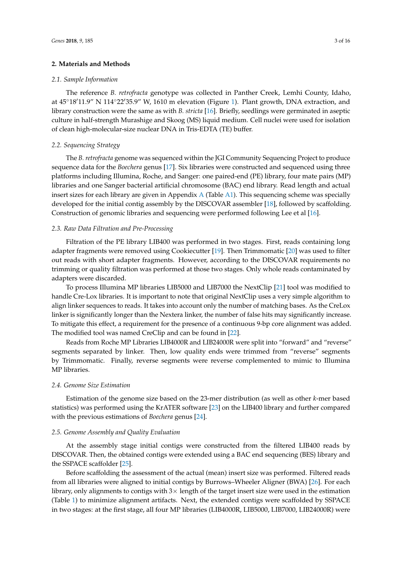# **2. Materials and Methods**

#### *2.1. Sample Information*

The reference *B. retrofracta* genotype was collected in Panther Creek, Lemhi County, Idaho, at 45◦18′11.9" N 114◦22′35.9" W, 1610 m elevation (Figure 1). Plant growth, DNA extraction, and library construction were the same as with *B. stricta* [16]. Briefly, seedlings were germinated in aseptic culture in half-strength Murashige and Skoog (MS) liquid medium. Cell nuclei were used for isolation of clean high-molecular-size nuclear DNA in Tris-EDTA (TE) buffer.

# *2.2. Sequencing Strategy*

The *B. retrofracta* genome was sequenced within the JGI Community Sequencing Project to produce sequence data for the *Boechera* genus [17]. Six libraries were constructed and sequenced using three platforms including Illumina, Roche, and Sanger: one paired-end (PE) library, four mate pairs (MP) libraries and one Sanger bacterial artificial chromosome (BAC) end library. Read length and actual insert sizes for each library are given in Appendix A (Table A1). This sequencing scheme was specially developed for the initial contig assembly by the DISCOVAR assembler [18], followed by scaffolding. Construction of genomic libraries and sequencing were performed following Lee et al [16].

#### *2.3. Raw Data Filtration and Pre-Processing*

Filtration of the PE library LIB400 was performed in two stages. First, reads containing long adapter fragments were removed using Cookiecutter [19]. Then Trimmomatic [20] was used to filter out reads with short adapter fragments. However, according to the DISCOVAR requirements no trimming or quality filtration was performed at those two stages. Only whole reads contaminated by adapters were discarded.

To process Illumina MP libraries LIB5000 and LIB7000 the NextClip [21] tool was modified to handle Cre-Lox libraries. It is important to note that original NextClip uses a very simple algorithm to align linker sequences to reads. It takes into account only the number of matching bases. As the CreLox linker is significantly longer than the Nextera linker, the number of false hits may significantly increase. To mitigate this effect, a requirement for the presence of a continuous 9-bp core alignment was added. The modified tool was named CreClip and can be found in [22].

Reads from Roche MP Libraries LIB4000R and LIB24000R were split into "forward" and "reverse" segments separated by linker. Then, low quality ends were trimmed from "reverse" segments by Trimmomatic. Finally, reverse segments were reverse complemented to mimic to Illumina MP libraries.

#### *2.4. Genome Size Estimation*

Estimation of the genome size based on the 23-mer distribution (as well as other *k*-mer based statistics) was performed using the KrATER software [23] on the LIB400 library and further compared with the previous estimations of *Boechera* genus [24].

# *2.5. Genome Assembly and Quality Evaluation*

At the assembly stage initial contigs were constructed from the filtered LIB400 reads by DISCOVAR. Then, the obtained contigs were extended using a BAC end sequencing (BES) library and the SSPACE scaffolder [25].

Before scaffolding the assessment of the actual (mean) insert size was performed. Filtered reads from all libraries were aligned to initial contigs by Burrows–Wheeler Aligner (BWA) [26]. For each library, only alignments to contigs with  $3\times$  length of the target insert size were used in the estimation (Table 1) to minimize alignment artifacts. Next, the extended contigs were scaffolded by SSPACE in two stages: at the first stage, all four MP libraries (LIB4000R, LIB5000, LIB7000, LIB24000R) were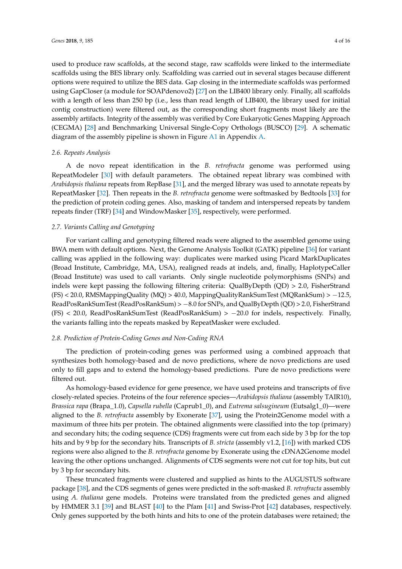used to produce raw scaffolds, at the second stage, raw scaffolds were linked to the intermediate scaffolds using the BES library only. Scaffolding was carried out in several stages because different options were required to utilize the BES data. Gap closing in the intermediate scaffolds was performed using GapCloser (a module for SOAPdenovo2) [27] on the LIB400 library only. Finally, all scaffolds with a length of less than 250 bp (i.e., less than read length of LIB400, the library used for initial contig construction) were filtered out, as the corresponding short fragments most likely are the assembly artifacts. Integrity of the assembly was verified by Core Eukaryotic Genes Mapping Approach (CEGMA) [28] and Benchmarking Universal Single-Copy Orthologs (BUSCO) [29]. A schematic diagram of the assembly pipeline is shown in Figure A1 in Appendix A.

#### *2.6. Repeats Analysis*

A de novo repeat identification in the *B. retrofracta* genome was performed using RepeatModeler [30] with default parameters. The obtained repeat library was combined with *Arabidopsis thaliana* repeats from RepBase [31], and the merged library was used to annotate repeats by RepeatMasker [32]. Then repeats in the *B. retrofracta* genome were softmasked by Bedtools [33] for the prediction of protein coding genes. Also, masking of tandem and interspersed repeats by tandem repeats finder (TRF) [34] and WindowMasker [35], respectively, were performed.

# *2.7. Variants Calling and Genotyping*

For variant calling and genotyping filtered reads were aligned to the assembled genome using BWA mem with default options. Next, the Genome Analysis Toolkit (GATK) pipeline [36] for variant calling was applied in the following way: duplicates were marked using Picard MarkDuplicates (Broad Institute, Cambridge, MA, USA), realigned reads at indels, and, finally, HaplotypeCaller (Broad Institute) was used to call variants. Only single nucleotide polymorphisms (SNPs) and indels were kept passing the following filtering criteria: QualByDepth (QD) > 2.0, FisherStrand (FS) < 20.0, RMSMappingQuality (MQ) > 40.0, MappingQualityRankSumTest (MQRankSum) > −12.5, ReadPosRankSumTest (ReadPosRankSum) > −8.0 for SNPs, and QualByDepth (QD) > 2.0, FisherStrand (FS) < 20.0, ReadPosRankSumTest (ReadPosRankSum) > −20.0 for indels, respectively. Finally, the variants falling into the repeats masked by RepeatMasker were excluded.

# *2.8. Prediction of Protein-Coding Genes and Non-Coding RNA*

The prediction of protein-coding genes was performed using a combined approach that synthesizes both homology-based and de novo predictions, where de novo predictions are used only to fill gaps and to extend the homology-based predictions. Pure de novo predictions were filtered out.

As homology-based evidence for gene presence, we have used proteins and transcripts of five closely-related species. Proteins of the four reference species—*Arabidopsis thaliana* (assembly TAIR10), *Brassica rapa* (Brapa\_1.0), *Capsella rubella* (Caprub1\_0), and *Eutrema salsugineum* (Eutsalg1\_0)—were aligned to the *B. retrofracta* assembly by Exonerate [37], using the Protein2Genome model with a maximum of three hits per protein. The obtained alignments were classified into the top (primary) and secondary hits; the coding sequence (CDS) fragments were cut from each side by 3 bp for the top hits and by 9 bp for the secondary hits. Transcripts of *B. stricta* (assembly v1.2, [16]) with marked CDS regions were also aligned to the *B. retrofracta* genome by Exonerate using the cDNA2Genome model leaving the other options unchanged. Alignments of CDS segments were not cut for top hits, but cut by 3 bp for secondary hits.

These truncated fragments were clustered and supplied as hints to the AUGUSTUS software package [38], and the CDS segments of genes were predicted in the soft-masked *B. retrofracta* assembly using *A. thaliana* gene models. Proteins were translated from the predicted genes and aligned by HMMER 3.1 [39] and BLAST [40] to the Pfam [41] and Swiss-Prot [42] databases, respectively. Only genes supported by the both hints and hits to one of the protein databases were retained; the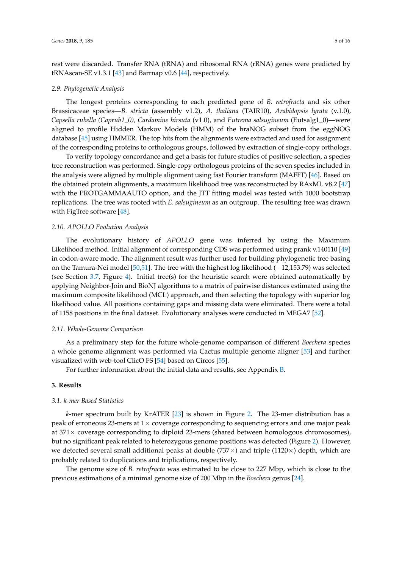rest were discarded. Transfer RNA (tRNA) and ribosomal RNA (rRNA) genes were predicted by tRNAscan-SE v1.3.1 [43] and Barrnap v0.6 [44], respectively.

#### *2.9. Phylogenetic Analysis*

The longest proteins corresponding to each predicted gene of *B. retrofracta* and six other Brassicaceae species—*B. stricta* (assembly v1.2), *A. thaliana* (TAIR10), *Arabidopsis lyrata* (v.1.0)*, Capsella rubella (Caprub1\_0), Cardamine hirsuta* (v1.0), and *Eutrema salsugineum* (Eutsalg1\_0)—were aligned to profile Hidden Markov Models (HMM) of the braNOG subset from the eggNOG database [45] using HMMER. The top hits from the alignments were extracted and used for assignment of the corresponding proteins to orthologous groups, followed by extraction of single-copy orthologs.

To verify topology concordance and get a basis for future studies of positive selection, a species tree reconstruction was performed. Single-copy orthologous proteins of the seven species included in the analysis were aligned by multiple alignment using fast Fourier transform (MAFFT) [46]. Based on the obtained protein alignments, a maximum likelihood tree was reconstructed by RAxML v8.2 [47] with the PROTGAMMAAUTO option, and the JTT fitting model was tested with 1000 bootstrap replications. The tree was rooted with *E. salsugineum* as an outgroup. The resulting tree was drawn with FigTree software [48].

# *2.10. APOLLO Evolution Analysis*

The evolutionary history of *APOLLO* gene was inferred by using the Maximum Likelihood method. Initial alignment of corresponding CDS was performed using prank v.140110 [49] in codon-aware mode. The alignment result was further used for building phylogenetic tree basing on the Tamura-Nei model [50,51]. The tree with the highest log likelihood (−12,153.79) was selected (see Section 3.7, Figure 4). Initial tree(s) for the heuristic search were obtained automatically by applying Neighbor-Join and BioNJ algorithms to a matrix of pairwise distances estimated using the maximum composite likelihood (MCL) approach, and then selecting the topology with superior log likelihood value. All positions containing gaps and missing data were eliminated. There were a total of 1158 positions in the final dataset. Evolutionary analyses were conducted in MEGA7 [52].

#### *2.11. Whole-Genome Comparison*

As a preliminary step for the future whole-genome comparison of different *Boechera* species a whole genome alignment was performed via Cactus multiple genome aligner [53] and further visualized with web-tool ClicO FS [54] based on Circos [55].

For further information about the initial data and results, see Appendix B.

# **3. Results**

#### *3.1. k-mer Based Statistics*

*k*-mer spectrum built by KrATER [23] is shown in Figure 2. The 23-mer distribution has a peak of erroneous 23-mers at  $1\times$  coverage corresponding to sequencing errors and one major peak at 371× coverage corresponding to diploid 23-mers (shared between homologous chromosomes), but no significant peak related to heterozygous genome positions was detected (Figure 2). However, we detected several small additional peaks at double ( $737\times$ ) and triple ( $1120\times$ ) depth, which are probably related to duplications and triplications, respectively.

The genome size of *B. retrofracta* was estimated to be close to 227 Mbp, which is close to the previous estimations of a minimal genome size of 200 Mbp in the *Boechera* genus [24].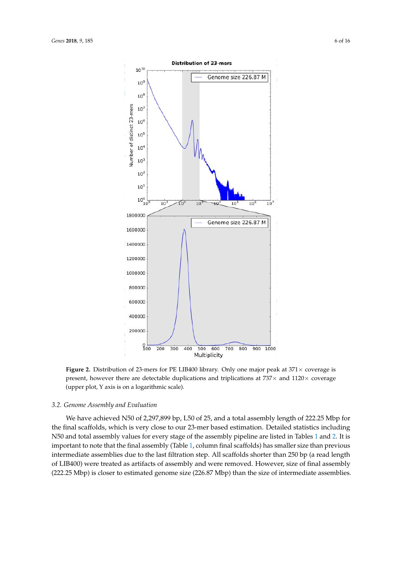

**Figure 2.** Distribution of 23-mers for PE LIB400 library. Only one major peak at  $371 \times$  coverage is present, however there are detectable duplications and triplications at  $737\times$  and  $1120\times$  coverage (upper plot, Y axis is on a logarithmic scale).

#### *3.2. Genome Assembly and Evaluation*

We have achieved N50 of 2,297,899 bp, L50 of 25, and a total assembly length of 222.25 Mbp for the final scaffolds, which is very close to our 23-mer based estimation. Detailed statistics including N50 and total assembly values for every stage of the assembly pipeline are listed in Tables 1 and 2. It is important to note that the final assembly (Table 1, column final scaffolds) has smaller size than previous intermediate assemblies due to the last filtration step. All scaffolds shorter than 250 bp (a read length of LIB400) were treated as artifacts of assembly and were removed. However, size of final assembly (222.25 Mbp) is closer to estimated genome size (226.87 Mbp) than the size of intermediate assemblies.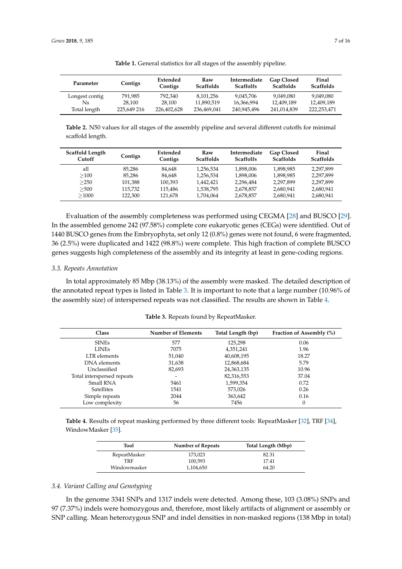| Parameter      | Contigs     | Extended<br>Contigs | Raw<br><b>Scaffolds</b> | Intermediate<br><b>Scaffolfs</b> | <b>Gap Closed</b><br><b>Scaffolds</b> | Final<br><b>Scaffolds</b> |
|----------------|-------------|---------------------|-------------------------|----------------------------------|---------------------------------------|---------------------------|
| Longest contig | 791.985     | 792.340             | 8.101.256               | 9.045.706                        | 9.049.080                             | 9.049.080                 |
| Ns             | 28.100      | 28.100              | 11.890.519              | 16.366.994                       | 12.409.189                            | 12.409.189                |
| Total length   | 225.649 216 | 226,402,628         | 236,469,041             | 240,945,496                      | 241.014.839                           | 222.253.471               |

**Table 1.** General statistics for all stages of the assembly pipeline.

**Table 2.** N50 values for all stages of the assembly pipeline and several different cutoffs for minimal scaffold length.

| Scaffold Length<br>Cutoff | Contigs | Extended<br>Contigs | Raw<br><b>Scaffolds</b> | Intermediate<br><b>Scaffolfs</b> | Gap Closed<br><b>Scaffolds</b> | Final<br><b>Scaffolds</b> |
|---------------------------|---------|---------------------|-------------------------|----------------------------------|--------------------------------|---------------------------|
| all                       | 85.286  | 84.648              | 1.256.534               | 1.898.006                        | 1,898,985                      | 2.297.899                 |
| >100                      | 85.286  | 84.648              | 1.256.534               | 1.898.006                        | 1,898,985                      | 2.297.899                 |
| >250                      | 101.388 | 100.393             | 1.442.421               | 2.296.484                        | 2.297.899                      | 2.297.899                 |
| >500                      | 115.732 | 115.486             | 1,538,795               | 2,678,857                        | 2,680,941                      | 2,680,941                 |
| >1000                     | 122.300 | 121.678             | 1.704.064               | 2.678.857                        | 2,680,941                      | 2,680,941                 |

Evaluation of the assembly completeness was performed using CEGMA [28] and BUSCO [29]. In the assembled genome 242 (97.58%) complete core eukaryotic genes (CEGs) were identified. Out of 1440 BUSCO genes from the Embryophyta, set only 12 (0.8%) genes were not found, 6 were fragmented, 36 (2.5%) were duplicated and 1422 (98.8%) were complete. This high fraction of complete BUSCO genes suggests high completeness of the assembly and its integrity at least in gene-coding regions.

#### *3.3. Repeats Annotation*

In total approximately 85 Mbp (38.13%) of the assembly were masked. The detailed description of the annotated repeat types is listed in Table 3. It is important to note that a large number (10.96% of the assembly size) of interspersed repeats was not classified. The results are shown in Table 4.

| <b>Class</b>               | <b>Number of Elements</b> | Total Length (bp) | Fraction of Assembly (%) |
|----------------------------|---------------------------|-------------------|--------------------------|
|                            |                           |                   |                          |
| <b>SINEs</b>               | 577                       | 125.298           | 0.06                     |
| <b>LINEs</b>               | 7075                      | 4,351,241         | 1.96                     |
| LTR elements               | 51,040                    | 40,608,195        | 18.27                    |
| DNA elements               | 31,638                    | 12,868,684        | 5.79                     |
| Unclassified               | 82,693                    | 24,363,135        | 10.96                    |
| Total interspersed repeats |                           | 82,316,553        | 37.04                    |
| Small RNA                  | 5461                      | 1,599,354         | 0.72                     |
| <b>Satellites</b>          | 1541                      | 573,026           | 0.26                     |
| Simple repeats             | 2044                      | 363,642           | 0.16                     |
| Low complexity             | 56                        | 7456              | $\Omega$                 |

**Table 3.** Repeats found by RepeatMasker.

**Table 4.** Results of repeat masking performed by three different tools: RepeatMasker [32], TRF [34], WindowMasker [35].

| Tool         | <b>Number of Repeats</b> | Total Length (Mbp) |
|--------------|--------------------------|--------------------|
| RepeatMasker | 173,023                  | 82.31              |
| TRF          | 100,593                  | 17.41              |
| Windowmasker | 1,104,650                | 64.20              |

# *3.4. Variant Calling and Genotyping*

In the genome 3341 SNPs and 1317 indels were detected. Among these, 103 (3.08%) SNPs and 97 (7.37%) indels were homozygous and, therefore, most likely artifacts of alignment or assembly or SNP calling. Mean heterozygous SNP and indel densities in non-masked regions (138 Mbp in total)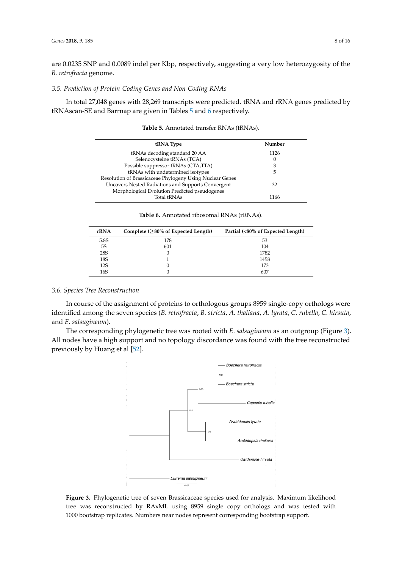are 0.0235 SNP and 0.0089 indel per Kbp, respectively, suggesting a very low heterozygosity of the *B. retrofracta* genome.

# *3.5. Prediction of Protein-Coding Genes and Non-Coding RNAs*

In total 27,048 genes with 28,269 transcripts were predicted. tRNA and rRNA genes predicted by tRNAscan-SE and Barrnap are given in Tables 5 and 6 respectively.

| tRNA Type                                                | Number |
|----------------------------------------------------------|--------|
| tRNAs decoding standard 20 AA                            | 1126   |
| Selenocysteine tRNAs (TCA)                               | 0      |
| Possible suppressor tRNAs (CTA,TTA)                      | 3      |
| tRNAs with undetermined isotypes                         | 5      |
| Resolution of Brassicaceae Phylogeny Using Nuclear Genes |        |
| Uncovers Nested Radiations and Supports Convergent       | 32     |
| Morphological Evolution Predicted pseudogenes            |        |
| <b>Total tRNAs</b>                                       | 1166   |

| <b>Table 5.</b> Annotated transfer RNAs (tRNAs). |  |  |  |
|--------------------------------------------------|--|--|--|
|--------------------------------------------------|--|--|--|

**Table 6.** Annotated ribosomal RNAs (rRNAs).

| rRNA       | Complete $($ >80% of Expected Length) | Partial (<80% of Expected Length) |
|------------|---------------------------------------|-----------------------------------|
| 5.8S       | 178                                   | 53                                |
| 5S         | 601                                   | 104                               |
| <b>28S</b> |                                       | 1782                              |
| 18S        |                                       | 1458                              |
| <b>12S</b> |                                       | 173                               |
| 16S        |                                       | 607                               |

# *3.6. Species Tree Reconstruction*

In course of the assignment of proteins to orthologous groups 8959 single-copy orthologs were identified among the seven species (*B. retrofracta*, *B. stricta*, *A. thaliana*, *A. lyrata*, *C. rubella, C. hirsuta*, and *E. salsugineum*).

The corresponding phylogenetic tree was rooted with *E. salsugineum* as an outgroup (Figure 3). All nodes have a high support and no topology discordance was found with the tree reconstructed previously by Huang et al [52].



**Figure 3.** Phylogenetic tree of seven Brassicaceae species used for analysis. Maximum likelihood tree was reconstructed by RAxML using 8959 single copy orthologs and was tested with 1000 bootstrap replicates. Numbers near nodes represent corresponding bootstrap support.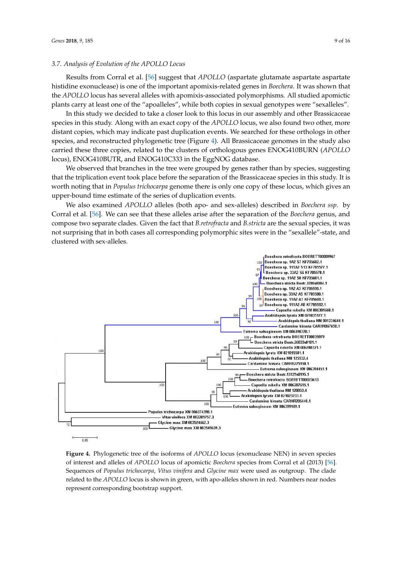# *3.7. Analysis of Evolution of the APOLLO Locus*

Results from Corral et al. [56] suggest that *APOLLO* (aspartate glutamate aspartate aspartate histidine exonuclease) is one of the important apomixis-related genes in *Boechera*. It was shown that the *APOLLO* locus has several alleles with apomixis-associated polymorphisms. All studied apomictic plants carry at least one of the "apoalleles", while both copies in sexual genotypes were "sexalleles".

In this study we decided to take a closer look to this locus in our assembly and other Brassicaceae species in this study. Along with an exact copy of the *APOLLO* locus, we also found two other, more distant copies, which may indicate past duplication events. We searched for these orthologs in other species, and reconstructed phylogenetic tree (Figure 4). All Brassicaceae genomes in the study also carried these three copies, related to the clusters of orthologous genes ENOG410BURN (*APOLLO* locus), ENOG410BUTR, and ENOG410C333 in the EggNOG database.

We observed that branches in the tree were grouped by genes rather than by species, suggesting that the triplication event took place before the separation of the Brassicaceae species in this study. It is worth noting that in *Populus trichocarpa* genome there is only one copy of these locus, which gives an upper-bound time estimate of the series of duplication events.

We also examined *APOLLO* alleles (both apo- and sex-alleles) described in *Boechera ssp*. by Corral et al. [56]. We can see that these alleles arise after the separation of the *Boechera* genus, and compose two separate clades. Given the fact that *B.retrofracta* and *B.stricta* are the sexual species, it was not surprising that in both cases all corresponding polymorphic sites were in the "sexallele"-state, and clustered with sex-alleles.



**Figure 4.** Phylogenetic tree of the isoforms of *APOLLO* locus (exonuclease NEN) in seven species of interest and alleles of *APOLLO* locus of apomictic *Boechera* species from Corral et al (2013) [56]. Sequences of *Populus trichocarpa*, *Vitus vinifera* and *Glycine max* were used as outgroup. The clade related to the *APOLLO* locus is shown in green, with apo-alleles shown in red. Numbers near nodes represent corresponding bootstrap support.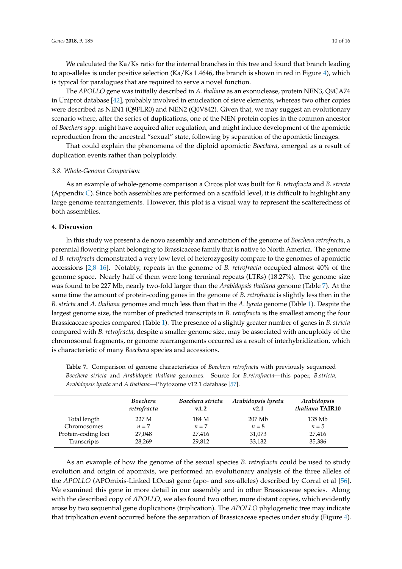We calculated the Ka/Ks ratio for the internal branches in this tree and found that branch leading to apo-alleles is under positive selection (Ka/Ks 1.4646, the branch is shown in red in Figure 4), which is typical for paralogues that are required to serve a novel function.

The *APOLLO* gene was initially described in *A. thaliana* as an exonuclease, protein NEN3, Q9CA74 in Uniprot database [42], probably involved in enucleation of sieve elements, whereas two other copies were described as NEN1 (Q9FLR0) and NEN2 (Q0V842). Given that, we may suggest an evolutionary scenario where, after the series of duplications, one of the NEN protein copies in the common ancestor of *Boechera* spp. might have acquired alter regulation, and might induce development of the apomictic reproduction from the ancestral "sexual" state, following by separation of the apomictic lineages.

That could explain the phenomena of the diploid apomictic *Boechera*, emerged as a result of duplication events rather than polyploidy.

#### *3.8. Whole-Genome Comparison*

As an example of whole-genome comparison a Circos plot was built for *B. retrofracta* and *B. stricta* (Appendix C). Since both assemblies are performed on a scaffold level, it is difficult to highlight any large genome rearrangements. However, this plot is a visual way to represent the scatteredness of both assemblies.

# **4. Discussion**

In this study we present a de novo assembly and annotation of the genome of *Boechera retrofracta*, a perennial flowering plant belonging to Brassicaceae family that is native to North America. The genome of *B. retrofracta* demonstrated a very low level of heterozygosity compare to the genomes of apomictic accessions [2,8–16]. Notably, repeats in the genome of *B. retrofracta* occupied almost 40% of the genome space. Nearly half of them were long terminal repeats (LTRs) (18.27%). The genome size was found to be 227 Mb, nearly two-fold larger than the *Arabidopsis thaliana* genome (Table 7). At the same time the amount of protein-coding genes in the genome of *B. retrofracta* is slightly less then in the *B. stricta* and *A. thaliana* genomes and much less than that in the *A. lyrata* genome (Table 1). Despite the largest genome size, the number of predicted transcripts in *B. retrofracta* is the smallest among the four Brassicaceae species compared (Table 1). The presence of a slightly greater number of genes in *B. stricta* compared with *B. retrofracta*, despite a smaller genome size, may be associated with aneuploidy of the chromosomal fragments, or genome rearrangements occurred as a result of interhybridization, which is characteristic of many *Boechera* species and accessions.

**Table 7.** Comparison of genome characteristics of *Boechera retrofracta* with previously sequenced *Boechera stricta* and *Arabidopsis thaliana* genomes. Source for *B.retrofracta*—this paper, *B.stricta*, *Arabidopsis lyrata* and *A.thaliana*—Phytozome v12.1 database [57].

|                     | Boechera<br>retrofracta | Boechera stricta<br>v.1.2 | Arabidopsis lyrata<br>v2.1 | Arabidopsis<br>thaliana TAIR10 |
|---------------------|-------------------------|---------------------------|----------------------------|--------------------------------|
| Total length        | 227 M                   | 184 M                     | 207 Mb                     | 135 Mb                         |
| Chromosomes         | $n=7$                   | $n=7$                     | $n=8$                      | $n=5$                          |
| Protein-coding loci | 27,048                  | 27,416                    | 31,073                     | 27,416                         |
| Transcripts         | 28,269                  | 29,812                    | 33,132                     | 35,386                         |

As an example of how the genome of the sexual species *B. retrofracta* could be used to study evolution and origin of apomixis, we performed an evolutionary analysis of the three alleles of the *APOLLO* (APOmixis-Linked LOcus) gene (apo- and sex-alleles) described by Corral et al [56]. We examined this gene in more detail in our assembly and in other Brassicaseae species. Along with the described copy of *APOLLO*, we also found two other, more distant copies, which evidently arose by two sequential gene duplications (triplication). The *APOLLO* phylogenetic tree may indicate that triplication event occurred before the separation of Brassicaceae species under study (Figure 4).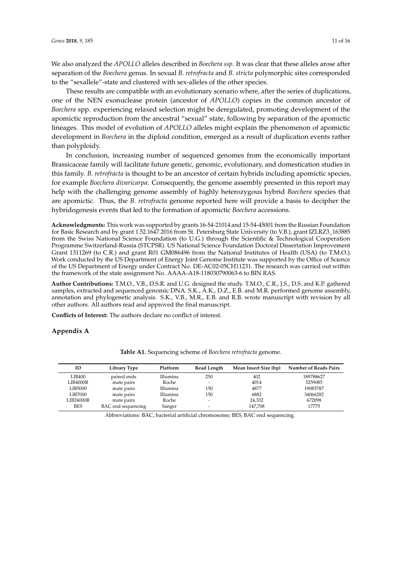We also analyzed the *APOLLO* alleles described in *Boechera ssp*. It was clear that these alleles arose after separation of the *Boechera* genus. In sexual *B. retrofracta* and *B. stricta* polymorphic sites corresponded to the "sexallele"-state and clustered with sex-alleles of the other species.

These results are compatible with an evolutionary scenario where, after the series of duplications, one of the NEN exonuclease protein (ancestor of *APOLLO*) copies in the common ancestor of *Boechera* spp. experiencing relaxed selection might be deregulated, promoting development of the apomictic reproduction from the ancestral "sexual" state, following by separation of the apomictic lineages. This model of evolution of *APOLLO* alleles might explain the phenomenon of apomictic development in *Boechera* in the diploid condition, emerged as a result of duplication events rather than polyploidy.

In conclusion, increasing number of sequenced genomes from the economically important Brassicaceae family will facilitate future genetic, genomic, evolutionary, and domestication studies in this family. *B. retrofracta* is thought to be an ancestor of certain hybrids including apomictic species, for example *Boechera divaricarpa*. Consequently, the genome assembly presented in this report may help with the challenging genome assembly of highly heterozygous hybrid *Boechera* species that are apomictic. Thus, the *B. retrofracta* genome reported here will provide a basis to decipher the hybridogenesis events that led to the formation of apomictic *Boechera* accessions.

**Acknowledgments:** This work was supported by grants 16-54-21014 and 15-54-45001 from the Russian Foundation for Basic Research and by grant 1.52.1647.2016 from St. Petersburg State University (to V.B.), grant IZLRZ3\_163885 from the Swiss National Science Foundation (to U.G.) through the Scientific & Technological Cooperation Programme Switzerland-Russia (STCPSR). US National Science Foundation Doctoral Dissertation Improvement Grant 1311269 (to C.R.) and grant R01 GM086496 from the National Institutes of Health (USA) (to T.M.O.). Work conducted by the US Department of Energy Joint Genome Institute was supported by the Office of Science of the US Department of Energy under Contract No. DE-AC02-05CH11231. The research was carried out within the framework of the state assignment No. AAAA-A18-118030790063-6 to BIN RAS.

**Author Contributions:** T.M.O., V.B., D.S.R. and U.G. designed the study. T.M.O., C.R., J.S., D.S. and K.P. gathered samples, extracted and sequenced genomic DNA. S.K., A.K., D.Z., E.B. and M.R. performed genome assembly, annotation and phylogenetic analysis. S.K., V.B., M.R., E.B. and R.B. wrote manuscript with revision by all other authors. All authors read and approved the final manuscript.

**Conflicts of Interest:** The authors declare no conflict of interest.

# **Appendix A**

| ID         | Library Type       | Platform | Read Length              | Mean Insert Size (bp) | <b>Number of Reads Pairs</b> |
|------------|--------------------|----------|--------------------------|-----------------------|------------------------------|
| LIB400     | paired ends        | Illumina | 250                      | 402                   | 189788627                    |
| LIB4000R   | mate pairs         | Roche    | $\overline{\phantom{a}}$ | 4014                  | 3259085                      |
| LIB5000    | mate pairs         | Illumina | 150                      | 4877                  | 19083787                     |
| LIB7000    | mate pairs         | Illumina | 150                      | 6882                  | 34066282                     |
| LIB24000R  | mate pairs         | Roche    | $\overline{\phantom{a}}$ | 24,332                | 672098                       |
| <b>BES</b> | BAC end sequencing | Sanger   |                          | 147,708               | 17775                        |

**Table A1.** Sequencing scheme of *Boechera retrofracta* genome.

Abbreviations: BAC, bacterial artificial chromosome; BES, BAC end sequencing.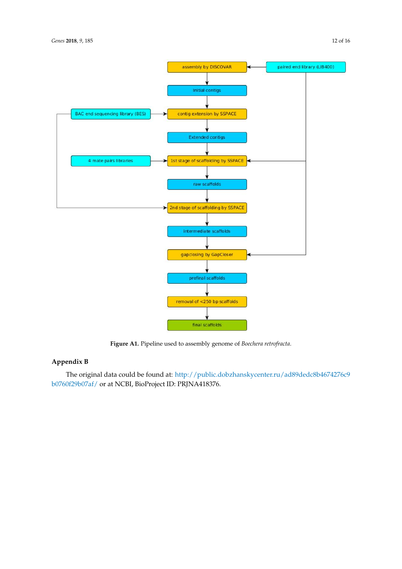



**Figure A1.** Pipeline used to assembly genome of *Boechera retrofracta*.

# **Appendix B**

The original data could be found at: http://public.dobzhanskycenter.ru/ad89dedc8b4674276c9 b0760f29b07af/ or at NCBI, BioProject ID: PRJNA418376.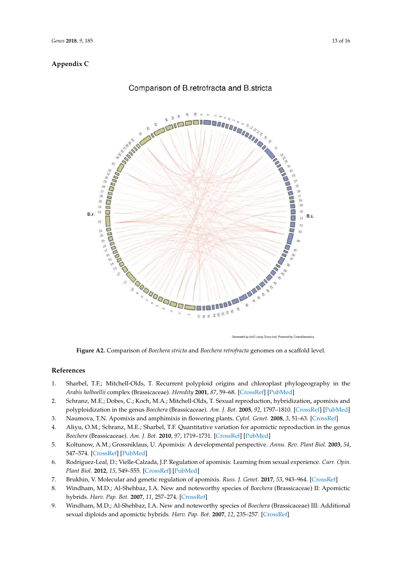# **Appendix C**



# Comparison of B.retrofracta and B.stricta

Generated by clicO using Circos tool. Powered by CodonGenomics

**Figure A2.** Comparison of *Boechera stricta* and *Boechera retrofracta* genomes on a scaffold level.

# **References**

- 1. Sharbel, T.F.; Mitchell-Olds, T. Recurrent polyploid origins and chloroplast phylogeography in the *Arabis holboellii* complex (Brassicaceae). *Heredity* **2001**, *87*, 59–68. [CrossRef] [PubMed]
- 2. Schranz, M.E.; Dobes, C.; Koch, M.A.; Mitchell-Olds, T. Sexual reproduction, hybridization, apomixis and polyploidization in the genus *Boechera* (Brassicaceae). *Am. J. Bot.* **2005**, *92*, 1797–1810. [CrossRef] [PubMed]
- 3. Naumova, T.N. Apomixis and amphimixis in flowering plants. *Cytol. Genet.* **2008**, *3*, 51–63. [CrossRef]
- 4. Aliyu, O.M.; Schranz, M.E.; Sharbel, T.F. Quantitative variation for apomictic reproduction in the genus *Boechera* (Brassicaceae). *Am. J. Bot.* **2010**, *97*, 1719–1731. [CrossRef] [PubMed]
- 5. Koltunow, A.M.; Grossniklaus, U. Apomixis: A developmental perspective. *Annu. Rev. Plant Biol.* **2003**, *54*, 547–574. [CrossRef] [PubMed]
- 6. Rodríguez-Leal, D.; Vielle-Calzada, J.P. Regulation of apomixis: Learning from sexual experience. *Curr. Opin. Plant Biol.* **2012**, *15*, 549–555. [CrossRef] [PubMed]
- 7. Brukhin, V. Molecular and genetic regulation of apomixis. *Russ. J. Genet.* **2017**, *53*, 943–964. [CrossRef]
- 8. Windham, M.D.; Al-Shehbaz, I.A. New and noteworthy species of *Boechera* (Brassicaceae) II: Apomictic hybrids. *Harv. Pap. Bot.* **2007**, *11*, 257–274. [CrossRef]
- 9. Windham, M.D.; Al-Shehbaz, I.A. New and noteworthy species of *Boechera* (Brassicaceae) III: Additional sexual diploids and apomictic hybrids. *Harv. Pap. Bot.* **2007**, *12*, 235–257. [CrossRef]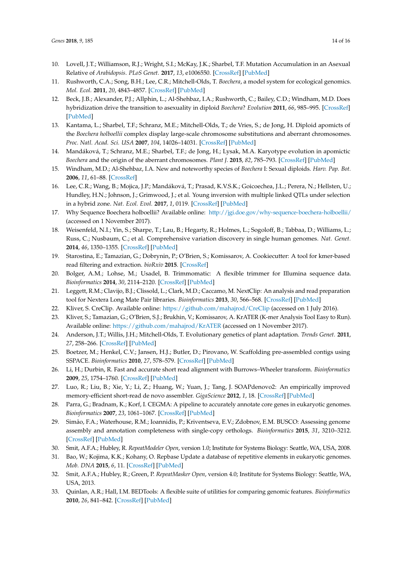- 10. Lovell, J.T.; Williamson, R.J.; Wright, S.I.; McKay, J.K.; Sharbel, T.F. Mutation Accumulation in an Asexual Relative of *Arabidopsis*. *PLoS Genet.* **2017**, *13*, e1006550. [CrossRef] [PubMed]
- 11. Rushworth, C.A.; Song, B.H.; Lee, C.R.; Mitchell-Olds, T. *Boechera*, a model system for ecological genomics. *Mol. Ecol.* **2011**, *20*, 4843–4857. [CrossRef] [PubMed]
- 12. Beck, J.B.; Alexander, P.J.; Allphin, L.; Al-Shehbaz, I.A.; Rushworth, C.; Bailey, C.D.; Windham, M.D. Does hybridization drive the transition to asexuality in diploid *Boechera*? *Evolution* **2011**, *66*, 985–995. [CrossRef] [PubMed]
- 13. Kantama, L.; Sharbel, T.F.; Schranz, M.E.; Mitchell-Olds, T.; de Vries, S.; de Jong, H. Diploid apomicts of the *Boechera holboellii* complex display large-scale chromosome substitutions and aberrant chromosomes. *Proc. Natl. Acad. Sci. USA* **2007**, *104*, 14026–14031. [CrossRef] [PubMed]
- 14. Mandáková, T.; Schranz, M.E.; Sharbel, T.F.; de Jong, H.; Lysak, M.A. Karyotype evolution in apomictic *Boechera* and the origin of the aberrant chromosomes. *Plant J.* **2015**, *82*, 785–793. [CrossRef] [PubMed]
- 15. Windham, M.D.; Al-Shehbaz, I.A. New and noteworthy species of *Boechera* I: Sexual diploids. *Harv. Pap. Bot.* **2006**, *11*, 61–88. [CrossRef]
- 16. Lee, C.R.; Wang, B.; Mojica, J.P.; Mandáková, T.; Prasad, K.V.S.K.; Goicoechea, J.L.; Perera, N.; Hellsten, U.; Hundley, H.N.; Johnson, J.; Grimwood, J.; et al. Young inversion with multiple linked QTLs under selection in a hybrid zone. *Nat. Ecol. Evol.* **2017**, *1*, 0119. [CrossRef] [PubMed]
- 17. Why Sequence Boechera holboellii? Available online: http://jgi.doe.gov/why-sequence-boechera-holboellii/ (accessed on 1 November 2017).
- 18. Weisenfeld, N.I.; Yin, S.; Sharpe, T.; Lau, B.; Hegarty, R.; Holmes, L.; Sogoloff, B.; Tabbaa, D.; Williams, L.; Russ, C.; Nusbaum, C.; et al. Comprehensive variation discovery in single human genomes. *Nat. Genet.* **2014**, *46*, 1350–1355. [CrossRef] [PubMed]
- 19. Starostina, E.; Tamazian, G.; Dobrynin, P.; O'Brien, S.; Komissarov, A. Cookiecutter: A tool for kmer-based read filtering and extraction. *bioRxiv* **2015**. [CrossRef]
- 20. Bolger, A.M.; Lohse, M.; Usadel, B. Trimmomatic: A flexible trimmer for Illumina sequence data. *Bioinformatics* **2014**, *30*, 2114–2120. [CrossRef] [PubMed]
- 21. Leggett, R.M.; Clavijo, B.J.; Clissold, L.; Clark, M.D.; Caccamo, M. NextClip: An analysis and read preparation tool for Nextera Long Mate Pair libraries. *Bioinformatics* **2013**, *30*, 566–568. [CrossRef] [PubMed]
- 22. Kliver, S. CreClip. Available online: https://github.com/mahajrod/CreClip (accessed on 1 July 2016).
- 23. Kliver, S.; Tamazian, G.; O'Brien, S.J.; Brukhin, V.; Komissarov, A. KrATER (K-mer Analysis Tool Easy to Run). Available online: https://github.com/mahajrod/KrATER (accessed on 1 November 2017).
- 24. Anderson, J.T.; Willis, J.H.; Mitchell-Olds, T. Evolutionary genetics of plant adaptation. *Trends Genet.* **2011**, *27*, 258–266. [CrossRef] [PubMed]
- 25. Boetzer, M.; Henkel, C.V.; Jansen, H.J.; Butler, D.; Pirovano, W. Scaffolding pre-assembled contigs using SSPACE. *Bioinformatics* **2010**, *27*, 578–579. [CrossRef] [PubMed]
- 26. Li, H.; Durbin, R. Fast and accurate short read alignment with Burrows–Wheeler transform. *Bioinformatics* **2009**, *25*, 1754–1760. [CrossRef] [PubMed]
- 27. Luo, R.; Liu, B.; Xie, Y.; Li, Z.; Huang, W.; Yuan, J.; Tang, J. SOAPdenovo2: An empirically improved memory-efficient short-read de novo assembler. *GigaScience* **2012**, *1*, 18. [CrossRef] [PubMed]
- 28. Parra, G.; Bradnam, K.; Korf, I. CEGMA: A pipeline to accurately annotate core genes in eukaryotic genomes. *Bioinformatics* **2007**, *23*, 1061–1067. [CrossRef] [PubMed]
- 29. Simão, F.A.; Waterhouse, R.M.; Ioannidis, P.; Kriventseva, E.V.; Zdobnov, E.M. BUSCO: Assessing genome assembly and annotation completeness with single-copy orthologs. *Bioinformatics* **2015**, *31*, 3210–3212. [CrossRef] [PubMed]
- 30. Smit, A.F.A.; Hubley, R. *RepeatModeler Open*, version 1.0; Institute for Systems Biology: Seattle, WA, USA, 2008.
- 31. Bao, W.; Kojima, K.K.; Kohany, O. Repbase Update a database of repetitive elements in eukaryotic genomes. *Mob. DNA* **2015**, *6*, 11. [CrossRef] [PubMed]
- 32. Smit, A.F.A.; Hubley, R.; Green, P. *RepeatMasker Open*, version 4.0; Institute for Systems Biology: Seattle, WA, USA, 2013.
- 33. Quinlan, A.R.; Hall, I.M. BEDTools: A flexible suite of utilities for comparing genomic features. *Bioinformatics* **2010**, *26*, 841–842. [CrossRef] [PubMed]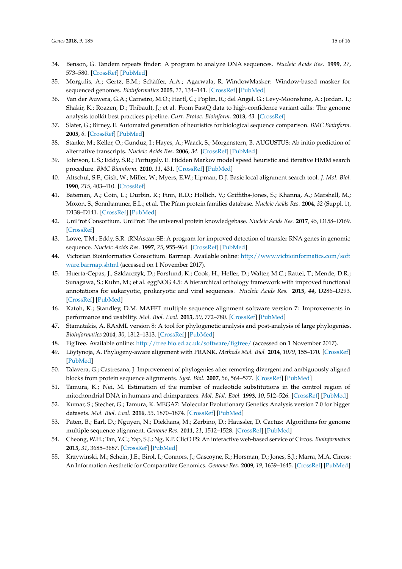- 34. Benson, G. Tandem repeats finder: A program to analyze DNA sequences. *Nucleic Acids Res.* **1999**, *27*, 573–580. [CrossRef] [PubMed]
- 35. Morgulis, A.; Gertz, E.M.; Schäffer, A.A.; Agarwala, R. WindowMasker: Window-based masker for sequenced genomes. *Bioinformatics* **2005**, *22*, 134–141. [CrossRef] [PubMed]
- 36. Van der Auwera, G.A.; Carneiro, M.O.; Hartl, C.; Poplin, R.; del Angel, G.; Levy-Moonshine, A.; Jordan, T.; Shakir, K.; Roazen, D.; Thibault, J.; et al. From FastQ data to high-confidence variant calls: The genome analysis toolkit best practices pipeline. *Curr. Protoc. Bioinform.* **2013**, *43*. [CrossRef]
- 37. Slater, G.; Birney, E. Automated generation of heuristics for biological sequence comparison. *BMC Bioinform.* **2005**, *6*. [CrossRef] [PubMed]
- 38. Stanke, M.; Keller, O.; Gunduz, I.; Hayes, A.; Waack, S.; Morgenstern, B. AUGUSTUS: Ab initio prediction of alternative transcripts. *Nucleic Acids Res.* **2006**, *34*. [CrossRef] [PubMed]
- 39. Johnson, L.S.; Eddy, S.R.; Portugaly, E. Hidden Markov model speed heuristic and iterative HMM search procedure. *BMC Bioinform.* **2010**, *11*, 431. [CrossRef] [PubMed]
- 40. Altschul, S.F.; Gish, W.; Miller, W.; Myers, E.W.; Lipman, D.J. Basic local alignment search tool. *J. Mol. Biol.* **1990**, *215*, 403–410. [CrossRef]
- 41. Bateman, A.; Coin, L.; Durbin, R.; Finn, R.D.; Hollich, V.; Griffiths-Jones, S.; Khanna, A.; Marshall, M.; Moxon, S.; Sonnhammer, E.L.; et al. The Pfam protein families database. *Nucleic Acids Res.* **2004**, *32* (Suppl. 1), D138–D141. [CrossRef] [PubMed]
- 42. UniProt Consortium. UniProt: The universal protein knowledgebase. *Nucleic Acids Res.* **2017**, *45*, D158–D169. [CrossRef]
- 43. Lowe, T.M.; Eddy, S.R. tRNAscan-SE: A program for improved detection of transfer RNA genes in genomic sequence. *Nucleic Acids Res.* **1997**, *25*, 955–964. [CrossRef] [PubMed]
- 44. Victorian Bioinformatics Consortium. Barrnap. Available online: http://www.vicbioinformatics.com/soft ware.barrnap.shtml (accessed on 1 November 2017).
- 45. Huerta-Cepas, J.; Szklarczyk, D.; Forslund, K.; Cook, H.; Heller, D.; Walter, M.C.; Rattei, T.; Mende, D.R.; Sunagawa, S.; Kuhn, M.; et al. eggNOG 4.5: A hierarchical orthology framework with improved functional annotations for eukaryotic, prokaryotic and viral sequences. *Nucleic Acids Res.* **2015**, *44*, D286–D293. [CrossRef] [PubMed]
- 46. Katoh, K.; Standley, D.M. MAFFT multiple sequence alignment software version 7: Improvements in performance and usability. *Mol. Biol. Evol.* **2013**, *30*, 772–780. [CrossRef] [PubMed]
- 47. Stamatakis, A. RAxML version 8: A tool for phylogenetic analysis and post-analysis of large phylogenies. *Bioinformatics* **2014**, *30*, 1312–1313. [CrossRef] [PubMed]
- 48. FigTree. Available online: http://tree.bio.ed.ac.uk/software/figtree/ (accessed on 1 November 2017).
- 49. Löytynoja, A. Phylogeny-aware alignment with PRANK. *Methods Mol. Biol.* **2014**, *1079*, 155–170. [CrossRef] [PubMed]
- 50. Talavera, G.; Castresana, J. Improvement of phylogenies after removing divergent and ambiguously aligned blocks from protein sequence alignments. *Syst. Biol.* **2007**, *56*, 564–577. [CrossRef] [PubMed]
- 51. Tamura, K.; Nei, M. Estimation of the number of nucleotide substitutions in the control region of mitochondrial DNA in humans and chimpanzees. *Mol. Biol. Evol.* **1993**, *10*, 512–526. [CrossRef] [PubMed]
- 52. Kumar, S.; Stecher, G.; Tamura, K. MEGA7: Molecular Evolutionary Genetics Analysis version 7.0 for bigger datasets. *Mol. Biol. Evol.* **2016**, *33*, 1870–1874. [CrossRef] [PubMed]
- 53. Paten, B.; Earl, D.; Nguyen, N.; Diekhans, M.; Zerbino, D.; Haussler, D. Cactus: Algorithms for genome multiple sequence alignment. *Genome Res.* **2011**, *21*, 1512–1528. [CrossRef] [PubMed]
- 54. Cheong, W.H.; Tan, Y.C.; Yap, S.J.; Ng, K.P. ClicO FS: An interactive web-based service of Circos. *Bioinformatics* **2015**, *31*, 3685–3687. [CrossRef] [PubMed]
- 55. Krzywinski, M.; Schein, J.E.; Birol, I.; Connors, J.; Gascoyne, R.; Horsman, D.; Jones, S.J.; Marra, M.A. Circos: An Information Aesthetic for Comparative Genomics. *Genome Res.* **2009**, *19*, 1639–1645. [CrossRef] [PubMed]